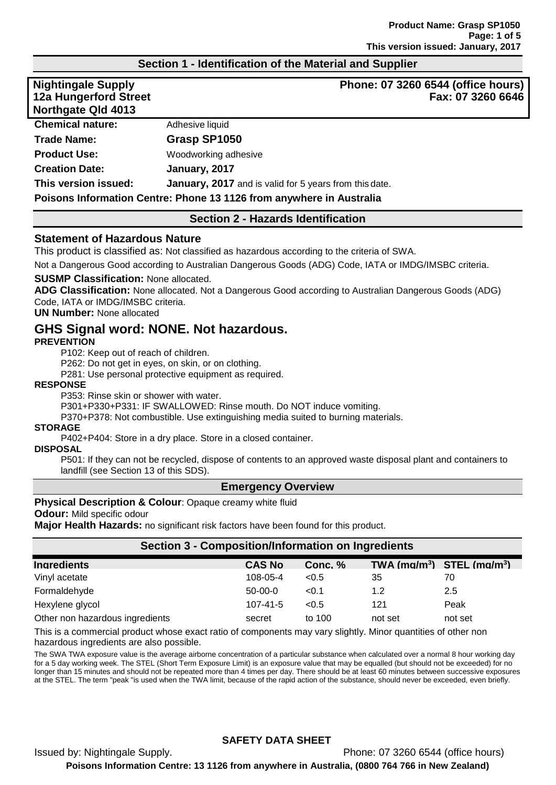# **Section 1 - Identification of the Material and Supplier**

| <b>Nightingale Supply</b><br>12a Hungerford Street<br><b>Northgate Qld 4013</b> | Phone: 07 3260 6544 (office hours)<br>Fax: 07 3260 6646              |
|---------------------------------------------------------------------------------|----------------------------------------------------------------------|
| <b>Chemical nature:</b>                                                         | Adhesive liquid                                                      |
| <b>Trade Name:</b>                                                              | Grasp SP1050                                                         |
| <b>Product Use:</b>                                                             | Woodworking adhesive                                                 |
| <b>Creation Date:</b>                                                           | January, 2017                                                        |
| This version issued:                                                            | January, 2017 and is valid for 5 years from this date.               |
|                                                                                 | Poisons Information Centre: Phone 13 1126 from anywhere in Australia |

# **Section 2 - Hazards Identification**

### **Statement of Hazardous Nature**

This product is classified as: Not classified as hazardous according to the criteria of SWA.

Not a Dangerous Good according to Australian Dangerous Goods (ADG) Code, IATA or IMDG/IMSBC criteria.

### **SUSMP Classification:** None allocated.

**ADG Classification:** None allocated. Not a Dangerous Good according to Australian Dangerous Goods (ADG) Code, IATA or IMDG/IMSBC criteria.

### **UN Number:** None allocated

# **GHS Signal word: NONE. Not hazardous.**

### **PREVENTION**

P102: Keep out of reach of children.

P262: Do not get in eyes, on skin, or on clothing.

P281: Use personal protective equipment as required.

### **RESPONSE**

P353: Rinse skin or shower with water.

P301+P330+P331: IF SWALLOWED: Rinse mouth. Do NOT induce vomiting.

P370+P378: Not combustible. Use extinguishing media suited to burning materials.

### **STORAGE**

P402+P404: Store in a dry place. Store in a closed container.

### **DISPOSAL**

P501: If they can not be recycled, dispose of contents to an approved waste disposal plant and containers to landfill (see Section 13 of this SDS).

### **Emergency Overview**

### **Physical Description & Colour: Opaque creamy white fluid**

**Odour:** Mild specific odour

**Major Health Hazards:** no significant risk factors have been found for this product.

| <b>Section 3 - Composition/Information on Ingredients</b> |                |         |                                |         |
|-----------------------------------------------------------|----------------|---------|--------------------------------|---------|
| <b>Ingredients</b>                                        | <b>CAS No</b>  | Conc. % | TWA $(mg/m^3)$ STEL $(mg/m^3)$ |         |
| Vinyl acetate                                             | 108-05-4       | < 0.5   | 35                             | 70      |
| Formaldehyde                                              | $50-00-0$      | < 0.1   | 1.2                            | 2.5     |
| Hexylene glycol                                           | $107 - 41 - 5$ | < 0.5   | 121                            | Peak    |
| Other non hazardous ingredients                           | secret         | to 100  | not set                        | not set |

This is a commercial product whose exact ratio of components may vary slightly. Minor quantities of other non hazardous ingredients are also possible.

The SWA TWA exposure value is the average airborne concentration of a particular substance when calculated over a normal 8 hour working day for a 5 day working week. The STEL (Short Term Exposure Limit) is an exposure value that may be equalled (but should not be exceeded) for no longer than 15 minutes and should not be repeated more than 4 times per day. There should be at least 60 minutes between successive exposures at the STEL. The term "peak "is used when the TWA limit, because of the rapid action of the substance, should never be exceeded, even briefly.

# **SAFETY DATA SHEET**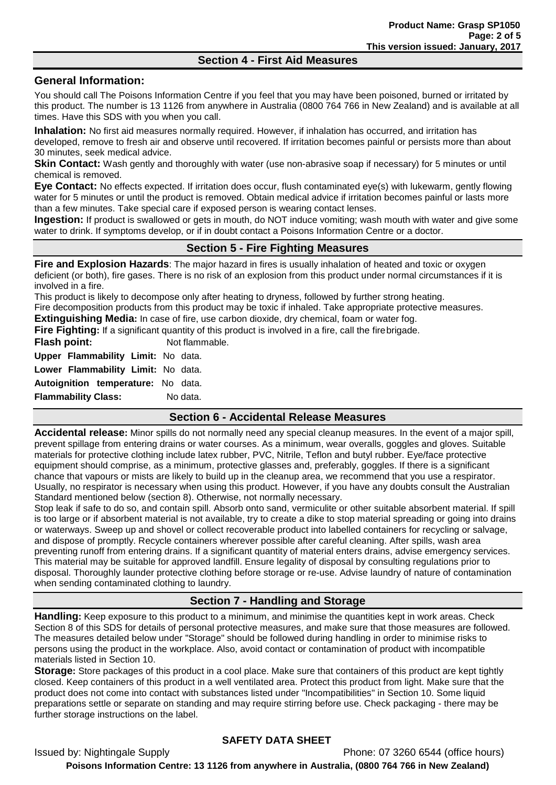### **Section 4 - First Aid Measures**

# **General Information:**

You should call The Poisons Information Centre if you feel that you may have been poisoned, burned or irritated by this product. The number is 13 1126 from anywhere in Australia (0800 764 766 in New Zealand) and is available at all times. Have this SDS with you when you call.

**Inhalation:** No first aid measures normally required. However, if inhalation has occurred, and irritation has developed, remove to fresh air and observe until recovered. If irritation becomes painful or persists more than about 30 minutes, seek medical advice.

**Skin Contact:** Wash gently and thoroughly with water (use non-abrasive soap if necessary) for 5 minutes or until chemical is removed.

**Eye Contact:** No effects expected. If irritation does occur, flush contaminated eye(s) with lukewarm, gently flowing water for 5 minutes or until the product is removed. Obtain medical advice if irritation becomes painful or lasts more than a few minutes. Take special care if exposed person is wearing contact lenses.

**Ingestion:** If product is swallowed or gets in mouth, do NOT induce vomiting; wash mouth with water and give some water to drink. If symptoms develop, or if in doubt contact a Poisons Information Centre or a doctor.

# **Section 5 - Fire Fighting Measures**

**Fire and Explosion Hazards**: The major hazard in fires is usually inhalation of heated and toxic or oxygen deficient (or both), fire gases. There is no risk of an explosion from this product under normal circumstances if it is involved in a fire.

This product is likely to decompose only after heating to dryness, followed by further strong heating. Fire decomposition products from this product may be toxic if inhaled. Take appropriate protective measures.

**Extinguishing Media:** In case of fire, use carbon dioxide, dry chemical, foam or water fog.

**Fire Fighting:** If a significant quantity of this product is involved in a fire, call the firebrigade.

**Flash point:** Not flammable.

**Upper Flammability Limit:** No data.

**Lower Flammability Limit:** No data.

**Autoignition temperature:** No data.

**Flammability Class:** No data.

# **Section 6 - Accidental Release Measures**

**Accidental release:** Minor spills do not normally need any special cleanup measures. In the event of a major spill, prevent spillage from entering drains or water courses. As a minimum, wear overalls, goggles and gloves. Suitable materials for protective clothing include latex rubber, PVC, Nitrile, Teflon and butyl rubber. Eye/face protective equipment should comprise, as a minimum, protective glasses and, preferably, goggles. If there is a significant chance that vapours or mists are likely to build up in the cleanup area, we recommend that you use a respirator. Usually, no respirator is necessary when using this product. However, if you have any doubts consult the Australian Standard mentioned below (section 8). Otherwise, not normally necessary.

Stop leak if safe to do so, and contain spill. Absorb onto sand, vermiculite or other suitable absorbent material. If spill is too large or if absorbent material is not available, try to create a dike to stop material spreading or going into drains or waterways. Sweep up and shovel or collect recoverable product into labelled containers for recycling or salvage, and dispose of promptly. Recycle containers wherever possible after careful cleaning. After spills, wash area preventing runoff from entering drains. If a significant quantity of material enters drains, advise emergency services. This material may be suitable for approved landfill. Ensure legality of disposal by consulting regulations prior to disposal. Thoroughly launder protective clothing before storage or re-use. Advise laundry of nature of contamination when sending contaminated clothing to laundry.

# **Section 7 - Handling and Storage**

**Handling:** Keep exposure to this product to a minimum, and minimise the quantities kept in work areas. Check Section 8 of this SDS for details of personal protective measures, and make sure that those measures are followed. The measures detailed below under "Storage" should be followed during handling in order to minimise risks to persons using the product in the workplace. Also, avoid contact or contamination of product with incompatible materials listed in Section 10.

**Storage:** Store packages of this product in a cool place. Make sure that containers of this product are kept tightly closed. Keep containers of this product in a well ventilated area. Protect this product from light. Make sure that the product does not come into contact with substances listed under "Incompatibilities" in Section 10. Some liquid preparations settle or separate on standing and may require stirring before use. Check packaging - there may be further storage instructions on the label.

# **SAFETY DATA SHEET**

Issued by: Nightingale Supply Phone: 07 3260 6544 (office hours) **Poisons Information Centre: 13 1126 from anywhere in Australia, (0800 764 766 in New Zealand)**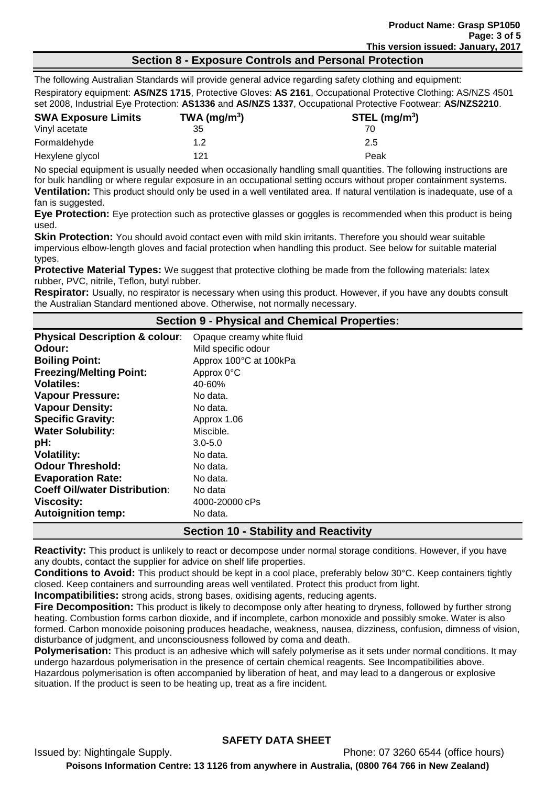# **Section 8 - Exposure Controls and Personal Protection**

The following Australian Standards will provide general advice regarding safety clothing and equipment: Respiratory equipment: **AS/NZS 1715**, Protective Gloves: **AS 2161**, Occupational Protective Clothing: AS/NZS 4501 set 2008, Industrial Eye Protection: **AS1336** and **AS/NZS 1337**, Occupational Protective Footwear: **AS/NZS2210**.

| <b>SWA Exposure Limits</b> | TWA (mg/m <sup>3</sup> ) | $STEL$ (mg/m <sup>3</sup> ) |
|----------------------------|--------------------------|-----------------------------|
| Vinyl acetate              | 35                       |                             |
| Formaldehyde               | 1.2                      | 2.5                         |
| Hexylene glycol            | 121                      | Peak                        |

No special equipment is usually needed when occasionally handling small quantities. The following instructions are for bulk handling or where regular exposure in an occupational setting occurs without proper containment systems. **Ventilation:** This product should only be used in a well ventilated area. If natural ventilation is inadequate, use of a fan is suggested.

**Eye Protection:** Eye protection such as protective glasses or goggles is recommended when this product is being used.

**Skin Protection:** You should avoid contact even with mild skin irritants. Therefore you should wear suitable impervious elbow-length gloves and facial protection when handling this product. See below for suitable material types.

**Protective Material Types:** We suggest that protective clothing be made from the following materials: latex rubber, PVC, nitrile, Teflon, butyl rubber.

**Respirator:** Usually, no respirator is necessary when using this product. However, if you have any doubts consult the Australian Standard mentioned above. Otherwise, not normally necessary.

| Section 9 - Physical and Chemical Properties: |                           |  |
|-----------------------------------------------|---------------------------|--|
| <b>Physical Description &amp; colour:</b>     | Opaque creamy white fluid |  |
| Odour:                                        | Mild specific odour       |  |
| <b>Boiling Point:</b>                         | Approx 100°C at 100kPa    |  |
| <b>Freezing/Melting Point:</b>                | Approx 0°C                |  |
| <b>Volatiles:</b>                             | 40-60%                    |  |
| <b>Vapour Pressure:</b>                       | No data.                  |  |
| <b>Vapour Density:</b>                        | No data.                  |  |
| <b>Specific Gravity:</b>                      | Approx 1.06               |  |
| <b>Water Solubility:</b>                      | Miscible.                 |  |
| pH:                                           | $3.0 - 5.0$               |  |
| <b>Volatility:</b>                            | No data.                  |  |
| <b>Odour Threshold:</b>                       | No data.                  |  |
| <b>Evaporation Rate:</b>                      | No data.                  |  |
| <b>Coeff Oil/water Distribution:</b>          | No data                   |  |
| <b>Viscosity:</b>                             | 4000-20000 cPs            |  |
| <b>Autoignition temp:</b>                     | No data.                  |  |
| <b>Section 10 - Stability and Reactivity</b>  |                           |  |

**Reactivity:** This product is unlikely to react or decompose under normal storage conditions. However, if you have any doubts, contact the supplier for advice on shelf life properties.

**Conditions to Avoid:** This product should be kept in a cool place, preferably below 30°C. Keep containers tightly closed. Keep containers and surrounding areas well ventilated. Protect this product from light.

**Incompatibilities:** strong acids, strong bases, oxidising agents, reducing agents.

**Fire Decomposition:** This product is likely to decompose only after heating to dryness, followed by further strong heating. Combustion forms carbon dioxide, and if incomplete, carbon monoxide and possibly smoke. Water is also formed. Carbon monoxide poisoning produces headache, weakness, nausea, dizziness, confusion, dimness of vision, disturbance of judgment, and unconsciousness followed by coma and death.

**Polymerisation:** This product is an adhesive which will safely polymerise as it sets under normal conditions. It may undergo hazardous polymerisation in the presence of certain chemical reagents. See Incompatibilities above. Hazardous polymerisation is often accompanied by liberation of heat, and may lead to a dangerous or explosive

situation. If the product is seen to be heating up, treat as a fire incident.

# **SAFETY DATA SHEET**

Issued by: Nightingale Supply. Phone: 07 3260 6544 (office hours) **Poisons Information Centre: 13 1126 from anywhere in Australia, (0800 764 766 in New Zealand)**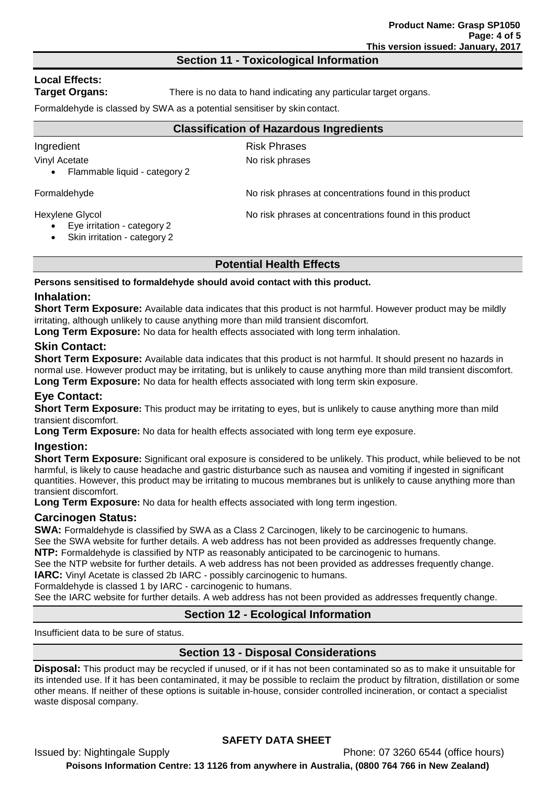### **Section 11 - Toxicological Information**

# **Local Effects:**

**Target Organs:** There is no data to hand indicating any particular target organs.

Formaldehyde is classed by SWA as a potential sensitiser by skin contact.

### **Classification of Hazardous Ingredients**

Ingredient **Risk Phrases** Vinyl Acetate No risk phrases

• Flammable liquid - category 2

Formaldehyde **No risk phrases at concentrations found in this product** 

Hexylene Glycol No risk phrases at concentrations found in this product

- Eye irritation category 2
- Skin irritation category 2

# **Potential Health Effects**

**Persons sensitised to formaldehyde should avoid contact with this product.**

# **Inhalation:**

**Short Term Exposure:** Available data indicates that this product is not harmful. However product may be mildly irritating, although unlikely to cause anything more than mild transient discomfort.

**Long Term Exposure:** No data for health effects associated with long term inhalation.

# **Skin Contact:**

**Short Term Exposure:** Available data indicates that this product is not harmful. It should present no hazards in normal use. However product may be irritating, but is unlikely to cause anything more than mild transient discomfort. **Long Term Exposure:** No data for health effects associated with long term skin exposure.

# **Eye Contact:**

**Short Term Exposure:** This product may be irritating to eyes, but is unlikely to cause anything more than mild transient discomfort.

**Long Term Exposure:** No data for health effects associated with long term eye exposure.

# **Ingestion:**

**Short Term Exposure:** Significant oral exposure is considered to be unlikely. This product, while believed to be not harmful, is likely to cause headache and gastric disturbance such as nausea and vomiting if ingested in significant quantities. However, this product may be irritating to mucous membranes but is unlikely to cause anything more than transient discomfort.

**Long Term Exposure:** No data for health effects associated with long term ingestion.

# **Carcinogen Status:**

**SWA:** Formaldehyde is classified by SWA as a Class 2 Carcinogen, likely to be carcinogenic to humans.

See the SWA website for further details. A web address has not been provided as addresses frequently change. **NTP:** Formaldehyde is classified by NTP as reasonably anticipated to be carcinogenic to humans.

See the NTP website for further details. A web address has not been provided as addresses frequently change. **IARC:** Vinyl Acetate is classed 2b IARC - possibly carcinogenic to humans.

Formaldehyde is classed 1 by IARC - carcinogenic to humans.

See the IARC website for further details. A web address has not been provided as addresses frequently change.

# **Section 12 - Ecological Information**

Insufficient data to be sure of status.

# **Section 13 - Disposal Considerations**

**Disposal:** This product may be recycled if unused, or if it has not been contaminated so as to make it unsuitable for its intended use. If it has been contaminated, it may be possible to reclaim the product by filtration, distillation or some other means. If neither of these options is suitable in-house, consider controlled incineration, or contact a specialist waste disposal company.

# **SAFETY DATA SHEET**

Issued by: Nightingale Supply Phone: 07 3260 6544 (office hours) **Poisons Information Centre: 13 1126 from anywhere in Australia, (0800 764 766 in New Zealand)**